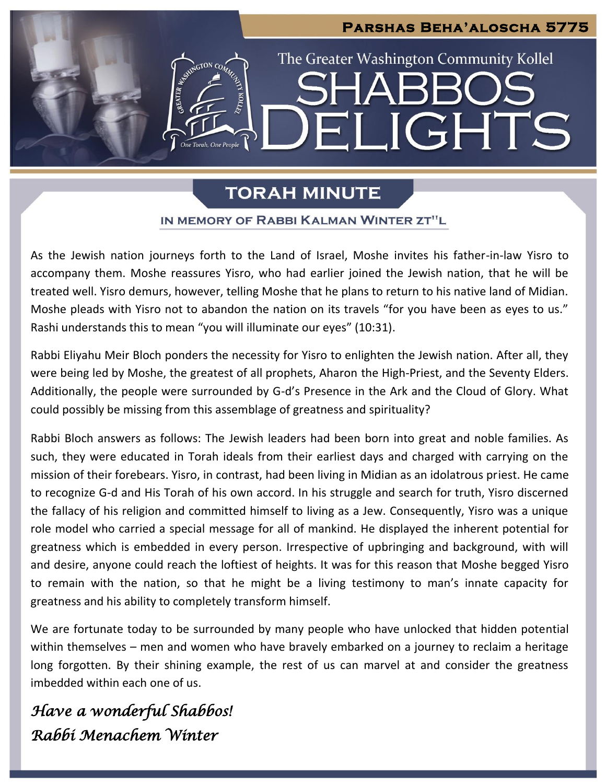# **Parshas Beha'aloscha 5775** The Greater Washington Community Kollel  $G$ TON CO LIGHTS  $\blacksquare$

# **TORAH MINUTE**

## IN MEMORY OF RABBI KALMAN WINTER ZT"L

As the Jewish nation journeys forth to the Land of Israel, Moshe invites his father-in-law Yisro to accompany them. Moshe reassures Yisro, who had earlier joined the Jewish nation, that he will be treated well. Yisro demurs, however, telling Moshe that he plans to return to his native land of Midian. Moshe pleads with Yisro not to abandon the nation on its travels "for you have been as eyes to us." Rashi understands this to mean "you will illuminate our eyes" (10:31).

Rabbi Eliyahu Meir Bloch ponders the necessity for Yisro to enlighten the Jewish nation. After all, they were being led by Moshe, the greatest of all prophets, Aharon the High-Priest, and the Seventy Elders. Additionally, the people were surrounded by G-d's Presence in the Ark and the Cloud of Glory. What could possibly be missing from this assemblage of greatness and spirituality?

Rabbi Bloch answers as follows: The Jewish leaders had been born into great and noble families. As such, they were educated in Torah ideals from their earliest days and charged with carrying on the mission of their forebears. Yisro, in contrast, had been living in Midian as an idolatrous priest. He came to recognize G-d and His Torah of his own accord. In his struggle and search for truth, Yisro discerned the fallacy of his religion and committed himself to living as a Jew. Consequently, Yisro was a unique role model who carried a special message for all of mankind. He displayed the inherent potential for greatness which is embedded in every person. Irrespective of upbringing and background, with will and desire, anyone could reach the loftiest of heights. It was for this reason that Moshe begged Yisro to remain with the nation, so that he might be a living testimony to man's innate capacity for greatness and his ability to completely transform himself.

We are fortunate today to be surrounded by many people who have unlocked that hidden potential within themselves – men and women who have bravely embarked on a journey to reclaim a heritage long forgotten. By their shining example, the rest of us can marvel at and consider the greatness imbedded within each one of us.

*Have a wonderful Shabbos! Rabbi Menachem Winter*